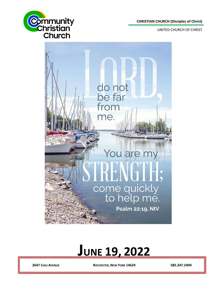**CHRISTIAN CHURCH (Disciples of Christ)**

**UNITED CHURCH OF CHRIST** 





# **JUNE 19, 2022**

**2647 CHILI AVENUE ROCHESTER, NEW YORK 14624 585.247.2494**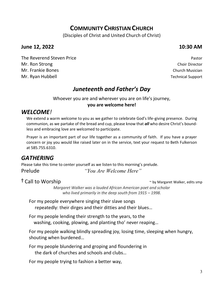# **COMMUNITY CHRISTIAN CHURCH**

(Disciples of Christ and United Church of Christ)

### **June 12, 2022 10:30 AM**

The Reverend Steven Price **Pastor** Pastor **Pastor** Pastor **Mr. Ron Strong Choir Director** Choir Director Choir Director Mr. Frankie Bones Church Musician Mr. Ryan Hubbell **Mr. Ryan Hubbell** Support

# *Juneteenth and Father's Day*

Whoever you are and wherever you are on life's journey, **you are welcome here!**

# *WELCOME!*

We extend a warm welcome to you as we gather to celebrate God's life-giving presence. During communion, as we partake of the bread and cup, please know that *all* who desire Christ's boundless and embracing love are welcomed to participate.

Prayer is an important part of our life together as a community of faith. If you have a prayer concern or joy you would like raised later on in the service, text your request to Beth Fulkerson at 585.755.6310.

# *GATHERING*

Please take this time to center yourself as we listen to this morning's prelude. Prelude *"You Are Welcome Here"* 

<sup>†</sup> Call to Worship **Figure 2018** *n n n n n n n n n n n n n n n n n n n n n n n n n n n n n n n*

*Margaret Walker was a lauded African American poet and scholar who lived primarily in the deep south from 1915 – 1998.*

For my people everywhere singing their slave songs repeatedly: their dirges and their ditties and their blues…

For my people lending their strength to the years, to the washing, cooking, plowing, and planting tho' never reaping…

For my people walking blindly spreading joy, losing time, sleeping when hungry, shouting when burdened…

For my people blundering and groping and floundering in the dark of churches and schools and clubs…

For my people trying to fashion a better way,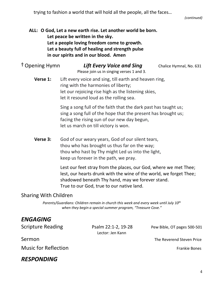trying to fashion a world that will hold all the people, all the faces…

*(continued)*

### **ALL: O God, Let a new earth rise. Let another world be born. Let peace be written in the sky. Let a people loving freedom come to growth. Let a beauty full of healing and strength pulse in our spirits and in our blood. Amen**

| <sup>†</sup> Opening Hymn | <b>Lift Every Voice and Sing</b><br>Please join us in singing verses 1 and 3.                                                                                                                                           | Chalice Hymnal, No. 631 |
|---------------------------|-------------------------------------------------------------------------------------------------------------------------------------------------------------------------------------------------------------------------|-------------------------|
| Verse 1:                  | Lift every voice and sing, till earth and heaven ring,<br>ring with the harmonies of liberty;<br>let our rejoicing rise high as the listening skies,<br>let it resound loud as the rolling sea.                         |                         |
|                           | Sing a song full of the faith that the dark past has taught us;<br>sing a song full of the hope that the present has brought us;<br>facing the rising sun of our new day begun,<br>let us march on till victory is won. |                         |
| Verse 3:                  | God of our weary years, God of our silent tears,<br>thou who has brought us thus far on the way;                                                                                                                        |                         |

thou who hast by Thy might Led us into the light, keep us forever in the path, we pray.

Lest our feet stray from the places, our God, where we met Thee; lest, our hearts drunk with the wine of the world, we forget Thee; shadowed beneath Thy hand, may we forever stand. True to our God, true to our native land.

# Sharing With Children

*Parents/Guardians: Children remain in church this week and every week until July 10th when they begin a special summer program, "Treasure Cove."*

# *ENGAGING*

Lector: Jen Kann

Scripture Reading Psalm 22:1-2, 19-28 Pew Bible, OT pages 500-501

Sermon The Reverend Steven Price

Music for Reflection **Frankie Bones Frankie Bones** 

# *RESPONDING*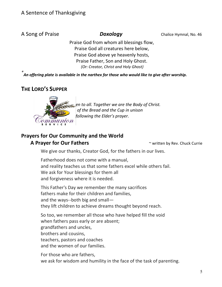A Song of Praise *Doxology* Chalice Hymnal, No. 46

Praise God from whom all blessings flow, Praise God all creatures here below, Praise God above ye heavenly hosts, Praise Father, Son and Holy Ghost. *(Or: Creator, Christ and Holy Ghost)*

*\* An offering plate is available in the narthex for those who would like to give after worship.*

# **THE LORD'S SUPPER**



*<u>Zen</u> to all. Together we are the Body of Christ. We will partake of the Bread and the Cup in unison following the Elder's prayer.* 

# **Prayers for Our Community and the World**

#### **A Prayer for Our Fathers A Prayer for Our Fathers A Prayer for Our Fathers**

We give our thanks, Creator God, for the fathers in our lives.

Fatherhood does not come with a manual, and reality teaches us that some fathers excel while others fail. We ask for Your blessings for them all and forgiveness where it is needed.

This Father's Day we remember the many sacrifices fathers make for their children and families, and the ways--both big and small they lift children to achieve dreams thought beyond reach.

So too, we remember all those who have helped fill the void when fathers pass early or are absent; grandfathers and uncles, brothers and cousins, teachers, pastors and coaches and the women of our families.

For those who are fathers, we ask for wisdom and humility in the face of the task of parenting.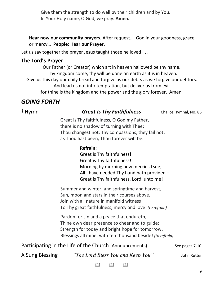Give them the strength to do well by their children and by You. In Your Holy name, O God, we pray. **Amen.**

**Hear now our community prayers.** After request… God in your goodness, grace or mercy… **People: Hear our Prayer.**

Let us say together the prayer Jesus taught those he loved ...

## **The Lord's Prayer**

Our Father (or Creator) which art in heaven hallowed be thy name. Thy kingdom come, thy will be done on earth as it is in heaven. Give us this day our daily bread and forgive us our debts as we forgive our debtors. And lead us not into temptation, but deliver us from evil for thine is the kingdom and the power and the glory forever. Amen.

# *GOING FORTH*

**†** Hymn *Great Is Thy Faithfulness* Chalice Hymnal, No. 86

Great is Thy faithfulness, O God my Father, there is no shadow of turning with Thee; Thou changest not, Thy compassions, they fail not; as Thou hast been, Thou forever wilt be.

#### **Refrain:**

Great is Thy faithfulness! Great is Thy faithfulness! Morning by morning new mercies I see; All I have needed Thy hand hath provided – Great is Thy faithfulness, Lord, unto me!

Summer and winter, and springtime and harvest, Sun, moon and stars in their courses above, Join with all nature in manifold witness To Thy great faithfulness, mercy and love. *(to refrain)*

Pardon for sin and a peace that endureth, Thine own dear presence to cheer and to guide; Strength for today and bright hope for tomorrow, Blessings all mine, with ten thousand beside! *(to refrain)*

| Participating in the Life of the Church (Announcements) | See pages 7-10 |
|---------------------------------------------------------|----------------|
|---------------------------------------------------------|----------------|

A Sung Blessing *"The Lord Bless You and Keep You"* John Rutter

 $\mathbf{m}$   $\mathbf{m}$   $\mathbf{m}$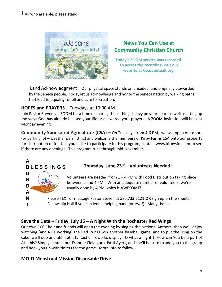

# **News You Can Use at Community Christian Church**

**Today's ZOOM service was recorded. To access the recording, visit our website at Cccopentoall.org.**

Land Acknowledgment:Our physical space stands on unceded land originally stewarded **I** by the Seneca people. Today let us acknowledge and honor the Seneca nation by walking paths **t**  that lead to equality for all and care for creation. **w**

#### **HOPES and PRAYERS –** Tuesdays at 10:00 AM.

**A**

**U N D A N T**

**B L E S S I N G S**

Join Pastor Steven via ZOOM for a time of sharing those things heavy on your heart as well as lifting up the ways God has already blessed your life or answered your prayers. A ZOOM invitation will be sent **b** Monday evening.

**Community Sponsored Agriculture (CSA) –** On Tuesdays from 4-6 PM, we will open our doors (or parking lot – weather permitting) and welcome the members of Kirby Farms CSA onto our property **s** for distribution of food. If you'd like to participate in this program, contact [www.kirbysfm.com](http://www.kirbysfm.com/) to see **t** if there are any openings. This program runs through mid-November. **o**



Volunteers are needed from 1 – 4 PM with Food Distribution taking place **l** between 2 and 4 PM. With an adequate number of volunteers, we're usually done by 4 PM which is AWESOME!

Please TEXT or message Pastor Steven at 585.733.7121 **OR** sign up on the sheets in **i** Fellowship Hall if you can lend a helping hand (or two!). Many thanks!

# **Save the Date – Friday, July 15 – A Night With the Rochester Red Wings**

Our own CCC Choir and friends will open the evening by singing the National Anthem, then we'll enjoy **k** watching (and NOT working) the Red Wings win another baseball game, and to put the icing on the **.** cake, we'll ooo and ahhh at a fantastic fireworks display. O what a night!! How can You be a part of ALL this? Simply contact our Frontier Field guru, Patti Ayers, and she'll be sure to add you to the group and hook you up with tickets for the game. More info to follow…

# **MOJO Menstrual Mission Disposable Drive**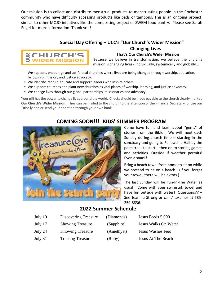Our mission is to collect and distribute menstrual products to menstruating people in the Rochester community who have difficulty accessing products like pads or tampons. This is an ongoing project, similar to other MOJO initiatives like the composting project or SWEM food pantry. Please see Sarah Engel for more information. Thank you!

#### **Special Day Offering – UCC's "Our Church's Wider Mission"**



 **Changing Lives That's Our Church's Wider Mission**

Because we believe in transformation, we believe the church's mission is changing lives - Individually, systemically and globally...

We support, encourage and uplift local churches where lives are being changed through worship, education, fellowship, mission, and justice advocacy.

- We identify, recruit, educate and support leaders who inspire others.
- We support churches and plant new churches as vital places of worship, learning, and justice advocacy.
- We change lives through our global partnerships, missionaries and advocacy.

Your gift has the power to change lives around the world. Checks should be made payable to the church clearly marked **Our Church's Wider Mission.** They can be mailed to the church to the attention of the Financial Secretary, or use our Tithe.ly app or send your donation through your own bank.

# **COMING SOON!!! KIDS' SUMMER PROGRAM**



Come have fun and learn about "gems" of stories from the Bible! We will meet each Sunday during church time – starting in the sanctuary and going to Fellowship Hall by the palm trees to start – then on to stories, games and activities. Outside if weather permits! Even a snack!

Bring a beach towel from home to sit on while we pretend to be on a beach! (If you forget your towel, there will be extras.)

The last Sunday will be Fun-In-The Water as usual! Come with your swimsuit, towel and have fun outside with water! Questions?? – See Jeannie Strong or call / text her at 585- 259-8836.

### **2022 Summer Schedule**

| July 10 | Discovering Treasure     | (Diamonds) | Jesus Feeds 5,000        |
|---------|--------------------------|------------|--------------------------|
| July 17 | <b>Showing Treasure</b>  | (Sapphire) | Jesus Walks On Water     |
| July 24 | <b>Knowing Treasure</b>  | (Amethyst) | <b>Jesus Washes Feet</b> |
| July 31 | <b>Trusting Treasure</b> | (Ruby)     | Jesus At The Beach       |
|         |                          |            |                          |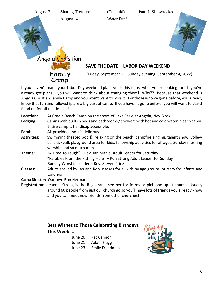



Angola Christian

Camp



#### **SAVE THE DATE! LABOR DAY WEEKEND**

Family (Friday, September 2 – Sunday evening, September 4, 2022)

If you haven't made your Labor Day weekend plans yet – this is just what you're looking for! If you've already got plans – you will want to think about changing them! Why?? Because that weekend is Angola Christian Family Camp and you won't want to miss it! For those who've gone before, you already know that fun and fellowship are a big part of camp. If you haven't gone before, you will want to start! Read on for all the details!!

| Location:          | At Cradle Beach Camp on the shore of Lake Eerie at Angola, New York                                                       |
|--------------------|---------------------------------------------------------------------------------------------------------------------------|
| Lodging:           | Cabins with built-in beds and bathrooms / showers with hot and cold water in each cabin.                                  |
|                    | Entire camp is handicap accessible.                                                                                       |
| Food:              | All provided and it's delicious!                                                                                          |
| <b>Activities:</b> | Swimming (heated pool!), relaxing on the beach, campfire singing, talent show, volley-                                    |
|                    | ball, kickball, playground area for kids, fellowship activities for all ages, Sunday morning<br>worship and so much more. |
| Theme:             | "A Time To Laugh" – Rev. Jan Mahle, Adult Leader for Saturday                                                             |
|                    | "Parables From the Fishing Hole" – Ron Strong Adult Leader for Sunday                                                     |
|                    | Sunday Worship Leader - Rev. Steven Price                                                                                 |
| <b>Classes:</b>    | Adults are led by Jan and Ron, classes for all kids by age groups, nursery for infants and                                |
|                    | toddlers                                                                                                                  |
|                    | Camp Director: Our own Ron Herman!                                                                                        |
|                    | <b>Registration:</b> Jeannie Strong is the Registrar – see her for forms or pick one up at church. Usually                |

around 60 people from just our church go so you'll have lots of friends you already know and you can meet new friends from other churches!

#### **Best Wishes to Those Celebrating Birthdays This Week …**

| June 20 | Pat Cannon            |
|---------|-----------------------|
| June 21 | Adam Flagg            |
| June 23 | <b>Emily Freedman</b> |

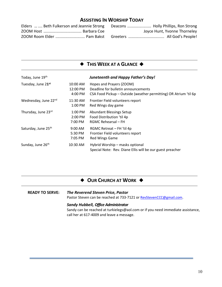#### **ASSISTING IN WORSHIP TODAY**

|  | Elders   Beth Fulkerson and Jeannie Strong Deacons  Holly Phillips, Ron Strong |                              |
|--|--------------------------------------------------------------------------------|------------------------------|
|  |                                                                                | Joyce Hunt, Yvonne Thorneley |
|  |                                                                                |                              |

|  |  |  | $\blacklozenge$ This Week at a Glance $\blacklozenge$ |  |
|--|--|--|-------------------------------------------------------|--|
|--|--|--|-------------------------------------------------------|--|

| Today, June 19th               |                                 | Juneteenth and Happy Father's Day!                                                                                                  |
|--------------------------------|---------------------------------|-------------------------------------------------------------------------------------------------------------------------------------|
| Tuesday, June 21 <sup>st</sup> | 10:00 AM<br>12:00 PM<br>4:00 PM | Hopes and Prayers (ZOOM)<br>Deadline for bulletin announcements<br>CSA Food Pickup - Outside (weather permitting) OR Atrium 'til 6p |
| Wednesday, June 22nd           | 11:30 AM<br>1:00 PM             | Frontier Field volunteers report<br>Red Wings day game                                                                              |
| Thursday, June 23rd            | $1:00$ PM<br>2:00 PM<br>7:00 PM | <b>Abundant Blessings Setup</b><br>Food Distribution 'til 4p<br>RGMC Rehearsal - FH                                                 |
| Saturday, June 25th            | $9:00$ AM<br>5:30 PM<br>7:05 PM | RGMC Retreat - FH 'til 4p<br>Frontier Field volunteers report<br><b>Red Wings Game</b>                                              |
| Sunday, June 26th              | 10:30 AM                        | Hybrid Worship - masks optional<br>Special Note: Rev. Diane Ellis will be our guest preacher                                        |

#### ◆ OUR CHURCH AT WORK ◆

#### **READY TO SERVE:** *The Reverend Steven Price, Pastor*

Pastor Steven can be reached at 733-7121 or [RevStevenCCC@gmail.com.](mailto:RevStevenCCC@gmail.com)

#### *Sandy Hubbell, Office Administrator*

Sandy can be reached at turkielegs@aol.com or if you need immediate assistance, call her at 617-4009 and leave a message.